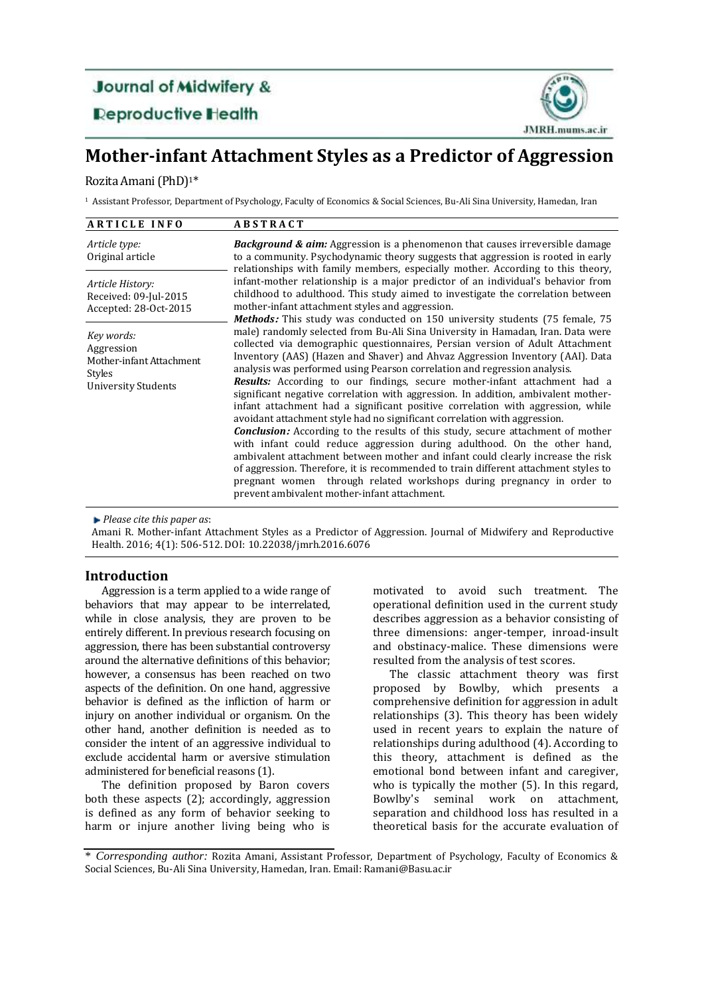# **Journal of Midwifery & Reproductive Health**



## **Mother-infant Attachment Styles as a Predictor of Aggression**

## Rozita Amani(PhD) 1\*

<sup>1</sup> Assistant Professor, Department of Psychology, Faculty of Economics & Social Sciences, Bu-Ali Sina University, Hamedan, Iran

| <b>ARTICLE INFO</b>                                                                                 | <b>ABSTRACT</b>                                                                                                                                                                                                                                                                                                                                                                                                                                                                                                                                                                                                                                                                                                                                                                                                                                                                                                                                                                                                                                                                                                                                                                                                                 |  |  |
|-----------------------------------------------------------------------------------------------------|---------------------------------------------------------------------------------------------------------------------------------------------------------------------------------------------------------------------------------------------------------------------------------------------------------------------------------------------------------------------------------------------------------------------------------------------------------------------------------------------------------------------------------------------------------------------------------------------------------------------------------------------------------------------------------------------------------------------------------------------------------------------------------------------------------------------------------------------------------------------------------------------------------------------------------------------------------------------------------------------------------------------------------------------------------------------------------------------------------------------------------------------------------------------------------------------------------------------------------|--|--|
| Article type:<br>Original article                                                                   | <b>Background &amp; aim:</b> Aggression is a phenomenon that causes irreversible damage<br>to a community. Psychodynamic theory suggests that aggression is rooted in early<br>relationships with family members, especially mother. According to this theory,                                                                                                                                                                                                                                                                                                                                                                                                                                                                                                                                                                                                                                                                                                                                                                                                                                                                                                                                                                  |  |  |
| Article History:<br>Received: 09-Jul-2015<br>Accepted: 28-Oct-2015                                  | infant-mother relationship is a major predictor of an individual's behavior from<br>childhood to adulthood. This study aimed to investigate the correlation between<br>mother-infant attachment styles and aggression.                                                                                                                                                                                                                                                                                                                                                                                                                                                                                                                                                                                                                                                                                                                                                                                                                                                                                                                                                                                                          |  |  |
| Key words:<br>Aggression<br>Mother-infant Attachment<br><b>Styles</b><br><b>University Students</b> | Methods: This study was conducted on 150 university students (75 female, 75<br>male) randomly selected from Bu-Ali Sina University in Hamadan, Iran. Data were<br>collected via demographic questionnaires, Persian version of Adult Attachment<br>Inventory (AAS) (Hazen and Shaver) and Ahvaz Aggression Inventory (AAI). Data<br>analysis was performed using Pearson correlation and regression analysis.<br><b>Results:</b> According to our findings, secure mother-infant attachment had a<br>significant negative correlation with aggression. In addition, ambivalent mother-<br>infant attachment had a significant positive correlation with aggression, while<br>avoidant attachment style had no significant correlation with aggression.<br><b>Conclusion:</b> According to the results of this study, secure attachment of mother<br>with infant could reduce aggression during adulthood. On the other hand,<br>ambivalent attachment between mother and infant could clearly increase the risk<br>of aggression. Therefore, it is recommended to train different attachment styles to<br>pregnant women through related workshops during pregnancy in order to<br>prevent ambivalent mother-infant attachment. |  |  |

*Please cite this paper as*:

Amani R. Mother-infant Attachment Styles as a Predictor of Aggression. Journal of Midwifery and Reproductive Health. 2016; 4(1): 506-512. DOI: 10.22038/jmrh.2016.6076

## **Introduction**

Aggression is a term applied to a wide range of behaviors that may appear to be interrelated, while in close analysis, they are proven to be entirely different. In previous research focusing on aggression, there has been substantial controversy around the alternative definitions of this behavior; however, a consensus has been reached on two aspects of the definition. On one hand, aggressive behavior is defined as the infliction of harm or injury on another individual or organism. On the other hand, another definition is needed as to consider the intent of an aggressive individual to exclude accidental harm or aversive stimulation administered for beneficial reasons (1).

The definition proposed by Baron covers both these aspects (2); accordingly, aggression is defined as any form of behavior seeking to harm or injure another living being who is

motivated to avoid such treatment. The operational definition used in the current study describes aggression as a behavior consisting of three dimensions: anger-temper, inroad-insult and obstinacy-malice. These dimensions were resulted from the analysis of test scores.

The classic attachment theory was first proposed by Bowlby, which presents a comprehensive definition for aggression in adult relationships (3). This theory has been widely used in recent years to explain the nature of relationships during adulthood (4). According to this theory, attachment is defined as the emotional bond between infant and caregiver, who is typically the mother (5). In this regard, Bowlby's seminal work on attachment, separation and childhood loss has resulted in a theoretical basis for the accurate evaluation of

<sup>\*</sup> *Corresponding author:* Rozita Amani, Assistant Professor, Department of Psychology, Faculty of Economics & Social Sciences, Bu-Ali Sina University, Hamedan, Iran. [Email: Ramani@Basu.ac.ir](mailto:email:%20ramani@basu.ac.ir)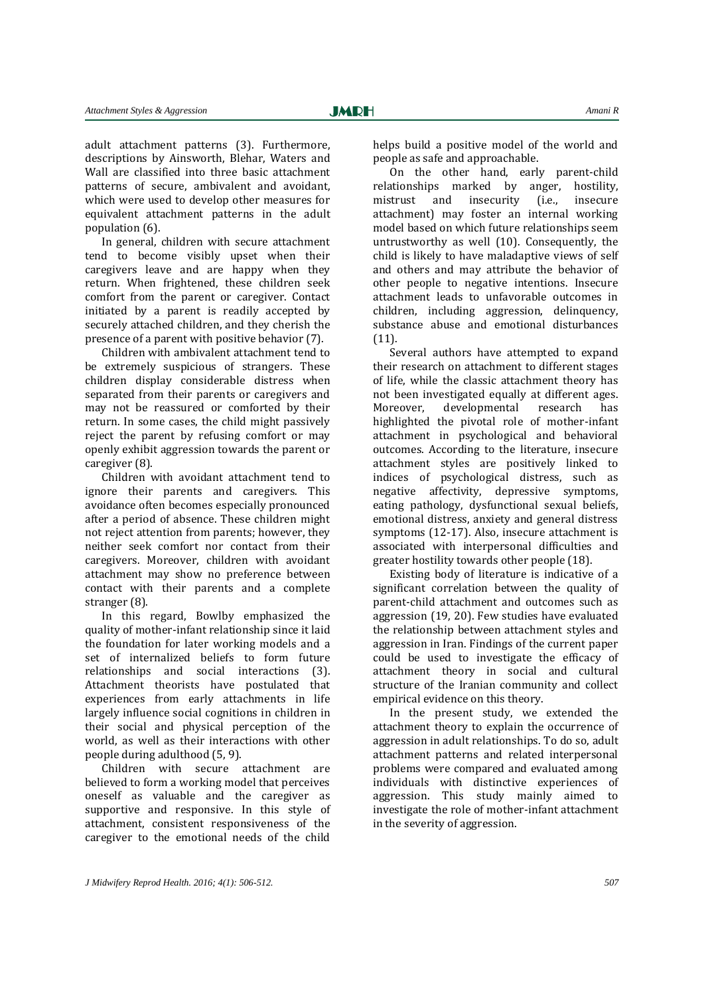adult attachment patterns (3). Furthermore, descriptions by Ainsworth, Blehar, Waters and Wall are classified into three basic attachment patterns of secure, ambivalent and avoidant, which were used to develop other measures for equivalent attachment patterns in the adult population (6).

In general, children with secure attachment tend to become visibly upset when their caregivers leave and are happy when they return. When frightened, these children seek comfort from the parent or caregiver. Contact initiated by a parent is readily accepted by securely attached children, and they cherish the presence of a parent with positive behavior (7).

Children with ambivalent attachment tend to be extremely suspicious of strangers. These children display considerable distress when separated from their parents or caregivers and may not be reassured or comforted by their return. In some cases, the child might passively reject the parent by refusing comfort or may openly exhibit aggression towards the parent or caregiver (8).

Children with avoidant attachment tend to ignore their parents and caregivers. This avoidance often becomes especially pronounced after a period of absence. These children might not reject attention from parents; however, they neither seek comfort nor contact from their caregivers. Moreover, children with avoidant attachment may show no preference between contact with their parents and a complete stranger (8).

In this regard, Bowlby emphasized the quality of mother-infant relationship since it laid the foundation for later working models and a set of internalized beliefs to form future relationships and social interactions (3). Attachment theorists have postulated that experiences from early attachments in life largely influence social cognitions in children in their social and physical perception of the world, as well as their interactions with other people during adulthood (5, 9).

Children with secure attachment are believed to form a working model that perceives oneself as valuable and the caregiver as supportive and responsive. In this style of attachment, consistent responsiveness of the caregiver to the emotional needs of the child

helps build a positive model of the world and people as safe and approachable.

On the other hand, early parent-child relationships marked by anger, hostility, mistrust and insecurity (i.e., insecure attachment) may foster an internal working model based on which future relationships seem untrustworthy as well (10). Consequently, the child is likely to have maladaptive views of self and others and may attribute the behavior of other people to negative intentions. Insecure attachment leads to unfavorable outcomes in children, including aggression, delinquency, substance abuse and emotional disturbances (11).

Several authors have attempted to expand their research on attachment to different stages of life, while the classic attachment theory has not been investigated equally at different ages. Moreover, developmental research has highlighted the pivotal role of mother-infant attachment in psychological and behavioral outcomes. According to the literature, insecure attachment styles are positively linked to indices of psychological distress, such as negative affectivity, depressive symptoms, eating pathology, dysfunctional sexual beliefs, emotional distress, anxiety and general distress symptoms (12-17). Also, insecure attachment is associated with interpersonal difficulties and greater hostility towards other people (18).

Existing body of literature is indicative of a significant correlation between the quality of parent-child attachment and outcomes such as aggression (19, 20). Few studies have evaluated the relationship between attachment styles and aggression in Iran. Findings of the current paper could be used to investigate the efficacy of attachment theory in social and cultural structure of the Iranian community and collect empirical evidence on this theory.

In the present study, we extended the attachment theory to explain the occurrence of aggression in adult relationships. To do so, adult attachment patterns and related interpersonal problems were compared and evaluated among individuals with distinctive experiences of aggression. This study mainly aimed to investigate the role of mother-infant attachment in the severity of aggression.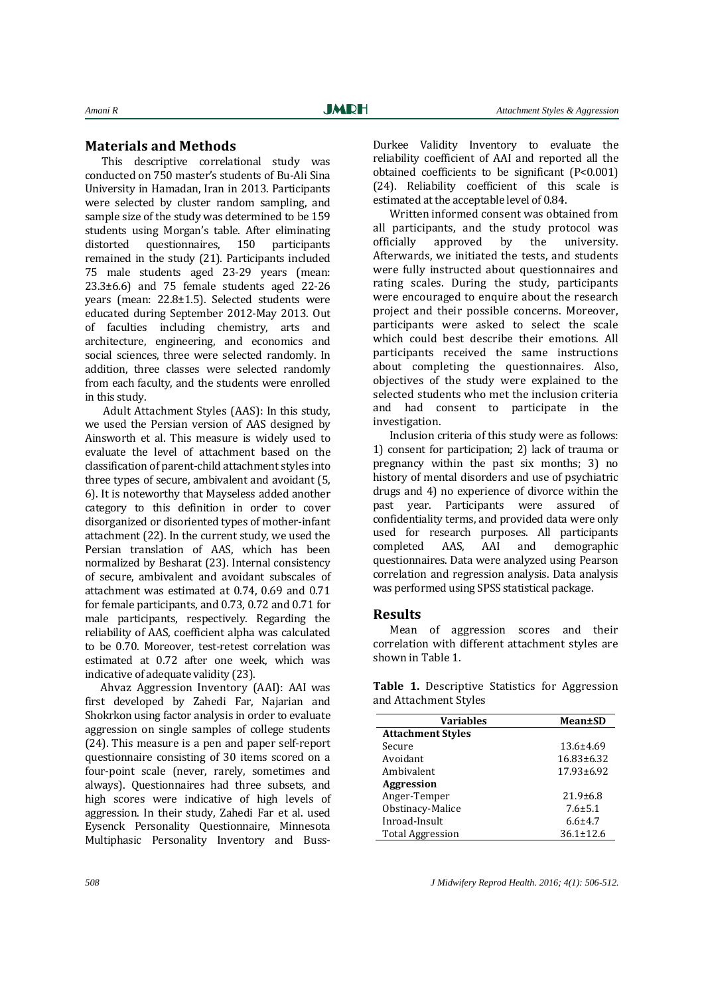## **Materials and Methods**

This descriptive correlational study was conducted on 750 master's students of Bu-Ali Sina University in Hamadan, Iran in 2013. Participants were selected by cluster random sampling, and sample size of the study was determined to be 159 students using Morgan's table. After eliminating distorted questionnaires, 150 participants remained in the study (21). Participants included 75 male students aged 23-29 years (mean: 23.3±6.6) and 75 female students aged 22-26 years (mean: 22.8±1.5). Selected students were educated during September 2012-May 2013. Out of faculties including chemistry, arts and architecture, engineering, and economics and social sciences, three were selected randomly. In addition, three classes were selected randomly from each faculty, and the students were enrolled in this study.

 Adult Attachment Styles (AAS): In this study, we used the Persian version of AAS designed by Ainsworth et al. This measure is widely used to evaluate the level of attachment based on the classification of parent-child attachment styles into three types of secure, ambivalent and avoidant (5, 6). It is noteworthy that Mayseless added another category to this definition in order to cover disorganized or disoriented types of mother-infant attachment (22). In the current study, we used the Persian translation of AAS, which has been normalized by Besharat (23). Internal consistency of secure, ambivalent and avoidant subscales of attachment was estimated at 0.74, 0.69 and 0.71 for female participants, and 0.73, 0.72 and 0.71 for male participants, respectively. Regarding the reliability of AAS, coefficient alpha was calculated to be 0.70. Moreover, test-retest correlation was estimated at 0.72 after one week, which was indicative of adequate validity (23).

 Ahvaz Aggression Inventory (AAI): AAI was first developed by Zahedi Far, Najarian and Shokrkon using factor analysis in order to evaluate aggression on single samples of college students (24). This measure is a pen and paper self-report questionnaire consisting of 30 items scored on a four-point scale (never, rarely, sometimes and always). Questionnaires had three subsets, and high scores were indicative of high levels of aggression. In their study, Zahedi Far et al. used Eysenck Personality Questionnaire, Minnesota Multiphasic Personality Inventory and BussDurkee Validity Inventory to evaluate the reliability coefficient of AAI and reported all the obtained coefficients to be significant (P<0.001) (24). Reliability coefficient of this scale is estimated at the acceptable level of 0.84.

Written informed consent was obtained from all participants, and the study protocol was officially approved by the university. Afterwards, we initiated the tests, and students were fully instructed about questionnaires and rating scales. During the study, participants were encouraged to enquire about the research project and their possible concerns. Moreover, participants were asked to select the scale which could best describe their emotions. All participants received the same instructions about completing the questionnaires. Also, objectives of the study were explained to the selected students who met the inclusion criteria and had consent to participate in the investigation.

Inclusion criteria of this study were as follows: 1) consent for participation; 2) lack of trauma or pregnancy within the past six months; 3) no history of mental disorders and use of psychiatric drugs and 4) no experience of divorce within the past year. Participants were assured of confidentiality terms, and provided data were only used for research purposes. All participants completed AAS, AAI and demographic questionnaires. Data were analyzed using Pearson correlation and regression analysis. Data analysis was performed using SPSS statistical package.

## **Results**

Mean of aggression scores and their correlation with different attachment styles are shown in Table 1.

|  | <b>Table 1.</b> Descriptive Statistics for Aggression |  |  |
|--|-------------------------------------------------------|--|--|
|  | and Attachment Styles                                 |  |  |

| Variables                | Mean±SD          |
|--------------------------|------------------|
| <b>Attachment Styles</b> |                  |
| Secure                   | $13.6 \pm 4.69$  |
| Avoidant                 | $16.83 \pm 6.32$ |
| Ambivalent               | $17.93 \pm 6.92$ |
| <b>Aggression</b>        |                  |
| Anger-Temper             | $21.9 \pm 6.8$   |
| Obstinacy-Malice         | $7.6 \pm 5.1$    |
| Inroad-Insult            | $6.6 \pm 4.7$    |
| <b>Total Aggression</b>  | $36.1 \pm 12.6$  |

*508 J Midwifery Reprod Health. 2016; 4(1): 506-512.*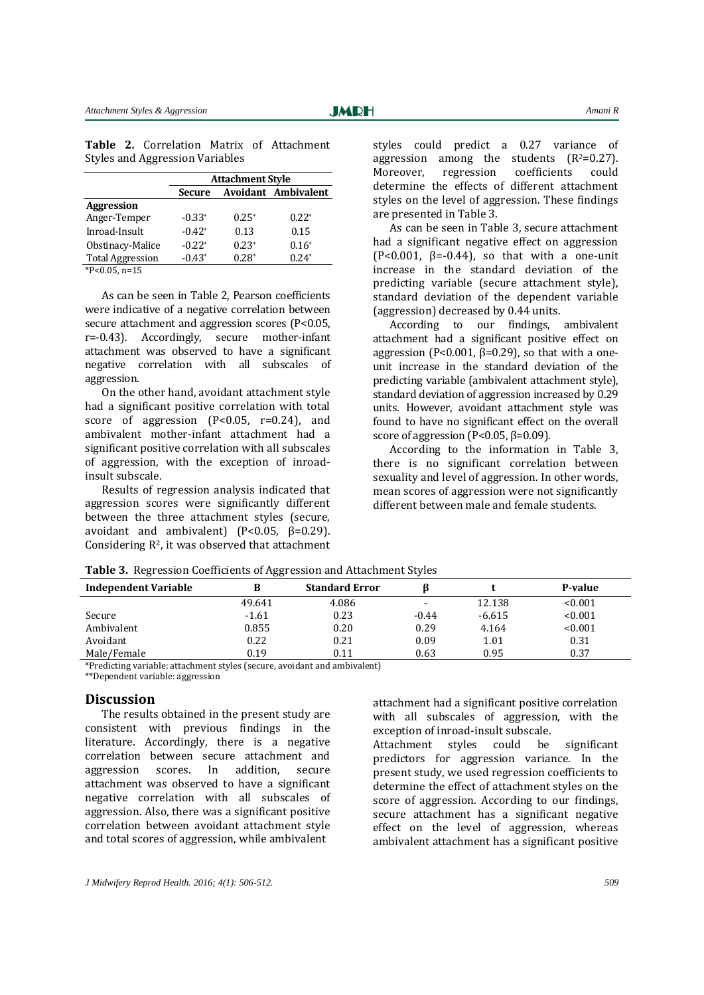|                                        |  | <b>Table 2.</b> Correlation Matrix of Attachment |  |  |  |
|----------------------------------------|--|--------------------------------------------------|--|--|--|
| <b>Styles and Aggression Variables</b> |  |                                                  |  |  |  |

|                                                         | <b>Attachment Style</b> |         |                            |  |
|---------------------------------------------------------|-------------------------|---------|----------------------------|--|
|                                                         | <b>Secure</b>           |         | <b>Avoidant Ambivalent</b> |  |
| Aggression                                              |                         |         |                            |  |
| Anger-Temper                                            | $-0.33*$                | $0.25*$ | $0.22*$                    |  |
| Inroad-Insult                                           | $-0.42*$                | 0.13    | 0.15                       |  |
| Obstinacy-Malice                                        | $-0.22*$                | $0.23*$ | $0.16*$                    |  |
| <b>Total Aggression</b>                                 | $-0.43*$                | $0.28*$ | $0.24*$                    |  |
| $*$ D $\Omega$ $\Omega$ $\Gamma$ $\Omega$ $=$ $4\Gamma$ |                         |         |                            |  |

\*P<0.05, n=15

As can be seen in Table 2, Pearson coefficients were indicative of a negative correlation between secure attachment and aggression scores (P<0.05, r=-0.43). Accordingly, secure mother-infant attachment was observed to have a significant negative correlation with all subscales of aggression.

On the other hand, avoidant attachment style had a significant positive correlation with total score of aggression  $(P<0.05, r=0.24)$ , and ambivalent mother-infant attachment had a significant positive correlation with all subscales of aggression, with the exception of inroadinsult subscale.

Results of regression analysis indicated that aggression scores were significantly different between the three attachment styles (secure, avoidant and ambivalent) ( $P < 0.05$ ,  $β = 0.29$ ). Considering R2, it was observed that attachment

styles could predict a 0.27 variance of aggression among the students  $(R^2=0.27)$ . Moreover, regression coefficients could determine the effects of different attachment styles on the level of aggression. These findings are presented in Table 3.

As can be seen in Table 3, secure attachment had a significant negative effect on aggression  $(P<0.001, \beta=-0.44)$ , so that with a one-unit increase in the standard deviation of the predicting variable (secure attachment style), standard deviation of the dependent variable (aggression) decreased by 0.44 units.

According to our findings, ambivalent attachment had a significant positive effect on aggression (P<0.001,  $β=0.29$ ), so that with a oneunit increase in the standard deviation of the predicting variable (ambivalent attachment style), standard deviation of aggression increased by 0.29 units. However, avoidant attachment style was found to have no significant effect on the overall score of aggression ( $P<0.05$ ,  $\beta=0.09$ ).

According to the information in Table 3, there is no significant correlation between sexuality and level of aggression. In other words, mean scores of aggression were not significantly different between male and female students.

| <b>Independent Variable</b> |         | <b>Standard Error</b> |                |          | P-value |
|-----------------------------|---------|-----------------------|----------------|----------|---------|
|                             | 49.641  | 4.086                 | $\blacksquare$ | 12.138   | < 0.001 |
| Secure                      | $-1.61$ | 0.23                  | $-0.44$        | $-6.615$ | < 0.001 |
| Ambivalent                  | 0.855   | 0.20                  | 0.29           | 4.164    | < 0.001 |
| Avoidant                    | 0.22    | 0.21                  | 0.09           | 1.01     | 0.31    |
| Male/Female                 | 0.19    | 0.11                  | 0.63           | 0.95     | 0.37    |

**Table 3.** Regression Coefficients of Aggression and Attachment Styles

\*Predicting variable: attachment styles (secure, avoidant and ambivalent)

\*\*Dependent variable: aggression

#### **Discussion**

The results obtained in the present study are consistent with previous findings in the literature. Accordingly, there is a negative correlation between secure attachment and aggression scores. In addition, secure attachment was observed to have a significant negative correlation with all subscales of aggression. Also, there was a significant positive correlation between avoidant attachment style and total scores of aggression, while ambivalent

attachment had a significant positive correlation with all subscales of aggression, with the exception of inroad-insult subscale.

Attachment styles could be significant predictors for aggression variance. In the present study, we used regression coefficients to determine the effect of attachment styles on the score of aggression. According to our findings, secure attachment has a significant negative effect on the level of aggression, whereas ambivalent attachment has a significant positive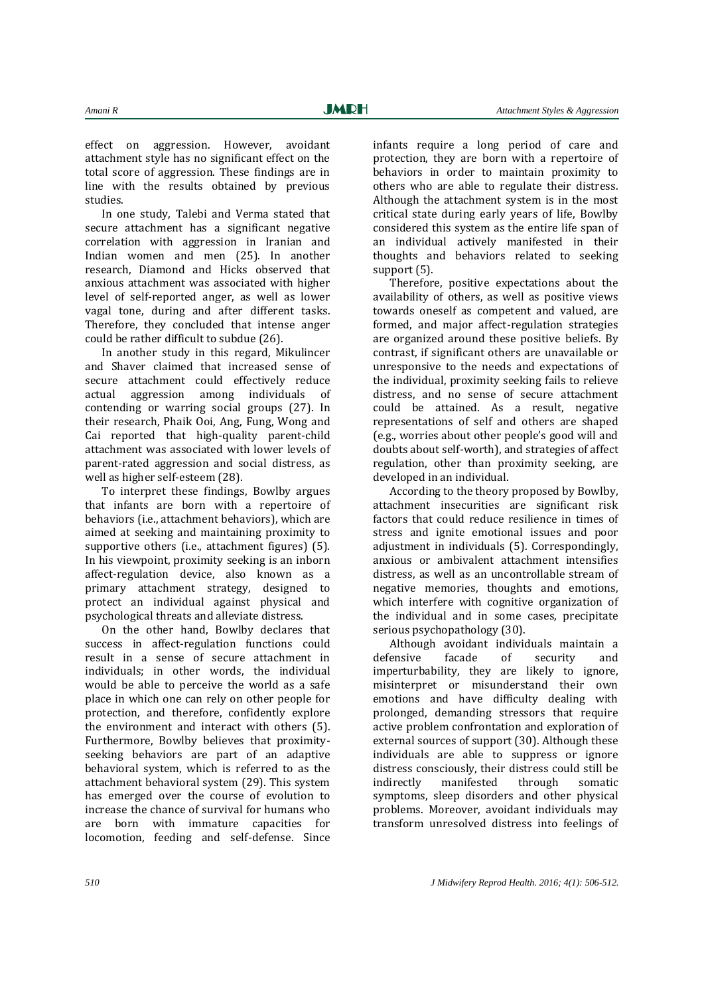effect on aggression. However, avoidant attachment style has no significant effect on the total score of aggression. These findings are in line with the results obtained by previous studies.

In one study, Talebi and Verma stated that secure attachment has a significant negative correlation with aggression in Iranian and Indian women and men (25). In another research, Diamond and Hicks observed that anxious attachment was associated with higher level of self-reported anger, as well as lower vagal tone, during and after different tasks. Therefore, they concluded that intense anger could be rather difficult to subdue (26).

In another study in this regard, Mikulincer and Shaver claimed that increased sense of secure attachment could effectively reduce actual aggression among individuals of contending or warring social groups (27). In their research, Phaik Ooi, Ang, Fung, Wong and Cai reported that high-quality parent-child attachment was associated with lower levels of parent-rated aggression and social distress, as well as higher self-esteem (28).

To interpret these findings, Bowlby argues that infants are born with a repertoire of behaviors (i.e., attachment behaviors), which are aimed at seeking and maintaining proximity to supportive others (i.e., attachment figures) (5). In his viewpoint, proximity seeking is an inborn affect-regulation device, also known as a primary attachment strategy, designed to protect an individual against physical and psychological threats and alleviate distress.

On the other hand, Bowlby declares that success in affect-regulation functions could result in a sense of secure attachment in individuals; in other words, the individual would be able to perceive the world as a safe place in which one can rely on other people for protection, and therefore, confidently explore the environment and interact with others (5). Furthermore, Bowlby believes that proximityseeking behaviors are part of an adaptive behavioral system, which is referred to as the attachment behavioral system (29). This system has emerged over the course of evolution to increase the chance of survival for humans who are born with immature capacities for locomotion, feeding and self-defense. Since

infants require a long period of care and protection, they are born with a repertoire of behaviors in order to maintain proximity to others who are able to regulate their distress. Although the attachment system is in the most critical state during early years of life, Bowlby considered this system as the entire life span of an individual actively manifested in their thoughts and behaviors related to seeking support (5).

Therefore, positive expectations about the availability of others, as well as positive views towards oneself as competent and valued, are formed, and major affect-regulation strategies are organized around these positive beliefs. By contrast, if significant others are unavailable or unresponsive to the needs and expectations of the individual, proximity seeking fails to relieve distress, and no sense of secure attachment could be attained. As a result, negative representations of self and others are shaped (e.g., worries about other people's good will and doubts about self-worth), and strategies of affect regulation, other than proximity seeking, are developed in an individual.

According to the theory proposed by Bowlby, attachment insecurities are significant risk factors that could reduce resilience in times of stress and ignite emotional issues and poor adjustment in individuals (5). Correspondingly, anxious or ambivalent attachment intensifies distress, as well as an uncontrollable stream of negative memories, thoughts and emotions, which interfere with cognitive organization of the individual and in some cases, precipitate serious psychopathology (30).

Although avoidant individuals maintain a defensive facade of security and imperturbability, they are likely to ignore, misinterpret or misunderstand their own emotions and have difficulty dealing with prolonged, demanding stressors that require active problem confrontation and exploration of external sources of support (30). Although these individuals are able to suppress or ignore distress consciously, their distress could still be indirectly manifested through somatic symptoms, sleep disorders and other physical problems. Moreover, avoidant individuals may transform unresolved distress into feelings of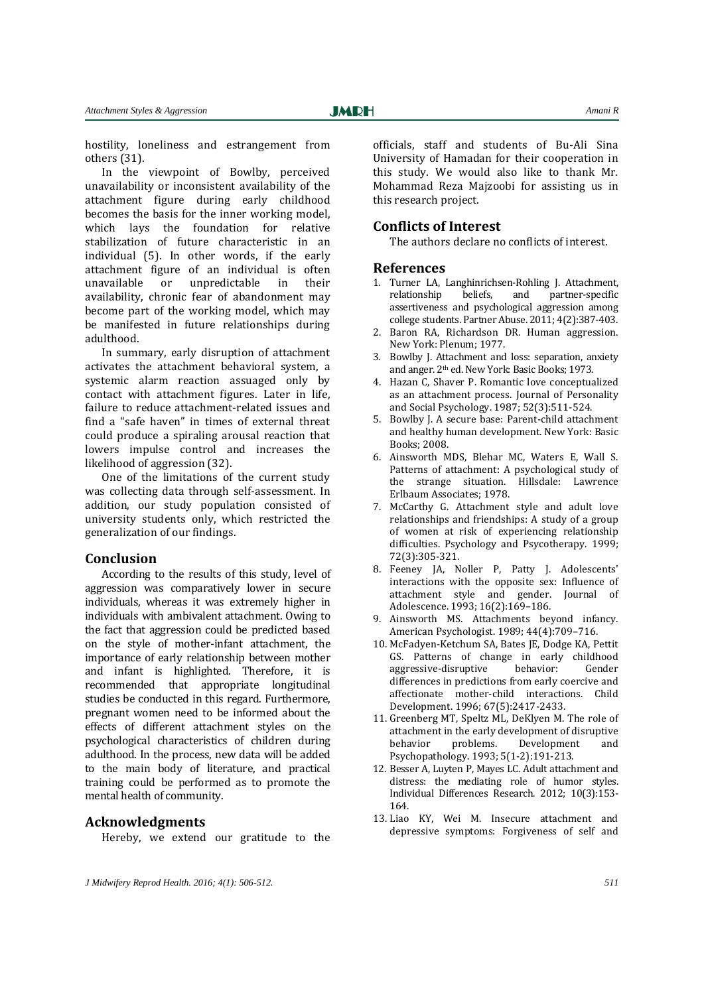hostility, loneliness and estrangement from others (31).

In the viewpoint of Bowlby, perceived unavailability or inconsistent availability of the attachment figure during early childhood becomes the basis for the inner working model, which lays the foundation for relative stabilization of future characteristic in an individual (5). In other words, if the early attachment figure of an individual is often unavailable or unpredictable in their availability, chronic fear of abandonment may become part of the working model, which may be manifested in future relationships during adulthood.

In summary, early disruption of attachment activates the attachment behavioral system, a systemic alarm reaction assuaged only by contact with attachment figures. Later in life, failure to reduce attachment-related issues and find a "safe haven" in times of external threat could produce a spiraling arousal reaction that lowers impulse control and increases the likelihood of aggression (32).

One of the limitations of the current study was collecting data through self-assessment. In addition, our study population consisted of university students only, which restricted the generalization of our findings.

#### **Conclusion**

According to the results of this study, level of aggression was comparatively lower in secure individuals, whereas it was extremely higher in individuals with ambivalent attachment. Owing to the fact that aggression could be predicted based on the style of mother-infant attachment, the importance of early relationship between mother and infant is highlighted. Therefore, it is recommended that appropriate longitudinal studies be conducted in this regard. Furthermore, pregnant women need to be informed about the effects of different attachment styles on the psychological characteristics of children during adulthood. In the process, new data will be added to the main body of literature, and practical training could be performed as to promote the mental health of community.

#### **Acknowledgments**

Hereby, we extend our gratitude to the

officials, staff and students of Bu-Ali Sina University of Hamadan for their cooperation in this study. We would also like to thank Mr. Mohammad Reza Majzoobi for assisting us in this research project.

#### **Conflicts of Interest**

The authors declare no conflicts of interest.

#### **References**

- 1. Turner LA, Langhinrichsen-Rohling J. Attachment, relationship beliefs, and partner-specific assertiveness and psychological aggression among college students. Partner Abuse. 2011; 4(2):387-403.
- 2. Baron RA, Richardson DR. Human aggression. New York: Plenum; 1977.
- 3. Bowlby J. Attachment and loss: separation, anxiety and anger. 2th ed. New York: Basic Books; 1973.
- 4. Hazan C, Shaver P. Romantic love conceptualized as an attachment process. Journal of Personality and Social Psychology. 1987; 52(3):511-524.
- 5. Bowlby J. A secure base: Parent-child attachment and healthy human development. New York: Basic Books; 2008.
- 6. Ainsworth MDS, Blehar MC, Waters E, Wall S. Patterns of attachment: A psychological study of the strange situation. Hillsdale: Lawrence Erlbaum Associates; 1978.
- 7. McCarthy G. Attachment style and adult love relationships and friendships: A study of a group of women at risk of experiencing relationship difficulties. Psychology and Psycotherapy. 1999; 72(3):305-321.
- 8. Feeney JA, Noller P, Patty J. Adolescents' interactions with the opposite sex: Influence of attachment style and gender. Journal of Adolescence. 1993; 16(2):169–186.
- 9. Ainsworth MS. Attachments beyond infancy. American Psychologist. 1989; 44(4):709–716.
- 10. McFadyen-Ketchum SA, Bates JE, Dodge KA, Pettit GS. Patterns of change in early childhood aggressive-disruptive behavior: Gender differences in predictions from early coercive and affectionate mother-child interactions. Child Development. 1996; 67(5):2417-2433.
- 11. Greenberg MT, Speltz ML, DeKlyen M. The role of attachment in the early development of disruptive behavior problems. Development and Psychopathology. 1993; 5(1-2):191-213.
- 12. Besser A, Luyten P, Mayes LC. Adult attachment and distress: the mediating role of humor styles. Individual Differences Research. 2012; 10(3):153- 164.
- 13. Liao KY, Wei M. Insecure attachment and depressive symptoms: Forgiveness of self and